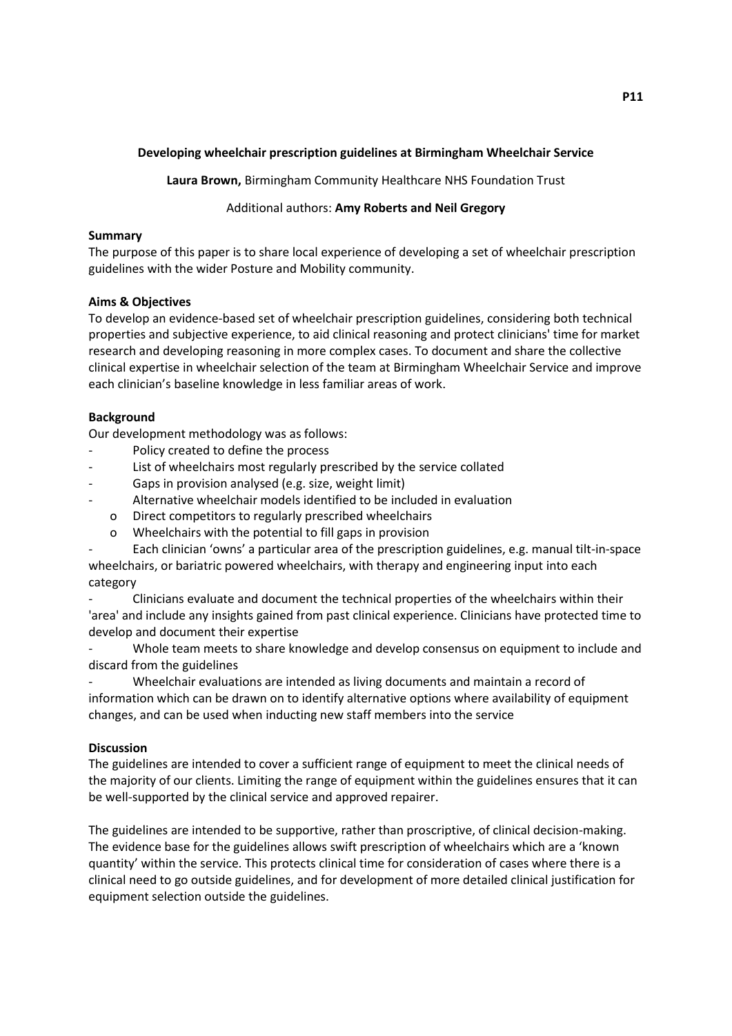# **Developing wheelchair prescription guidelines at Birmingham Wheelchair Service**

**Laura Brown,** Birmingham Community Healthcare NHS Foundation Trust

## Additional authors: **Amy Roberts and Neil Gregory**

## **Summary**

The purpose of this paper is to share local experience of developing a set of wheelchair prescription guidelines with the wider Posture and Mobility community.

## **Aims & Objectives**

To develop an evidence-based set of wheelchair prescription guidelines, considering both technical properties and subjective experience, to aid clinical reasoning and protect clinicians' time for market research and developing reasoning in more complex cases. To document and share the collective clinical expertise in wheelchair selection of the team at Birmingham Wheelchair Service and improve each clinician's baseline knowledge in less familiar areas of work.

# **Background**

Our development methodology was as follows:

- Policy created to define the process
- List of wheelchairs most regularly prescribed by the service collated
- Gaps in provision analysed (e.g. size, weight limit)
- Alternative wheelchair models identified to be included in evaluation
	- o Direct competitors to regularly prescribed wheelchairs
	- o Wheelchairs with the potential to fill gaps in provision

- Each clinician 'owns' a particular area of the prescription guidelines, e.g. manual tilt-in-space wheelchairs, or bariatric powered wheelchairs, with therapy and engineering input into each category

- Clinicians evaluate and document the technical properties of the wheelchairs within their 'area' and include any insights gained from past clinical experience. Clinicians have protected time to develop and document their expertise

Whole team meets to share knowledge and develop consensus on equipment to include and discard from the guidelines

- Wheelchair evaluations are intended as living documents and maintain a record of information which can be drawn on to identify alternative options where availability of equipment changes, and can be used when inducting new staff members into the service

### **Discussion**

The guidelines are intended to cover a sufficient range of equipment to meet the clinical needs of the majority of our clients. Limiting the range of equipment within the guidelines ensures that it can be well-supported by the clinical service and approved repairer.

The guidelines are intended to be supportive, rather than proscriptive, of clinical decision-making. The evidence base for the guidelines allows swift prescription of wheelchairs which are a 'known quantity' within the service. This protects clinical time for consideration of cases where there is a clinical need to go outside guidelines, and for development of more detailed clinical justification for equipment selection outside the guidelines.